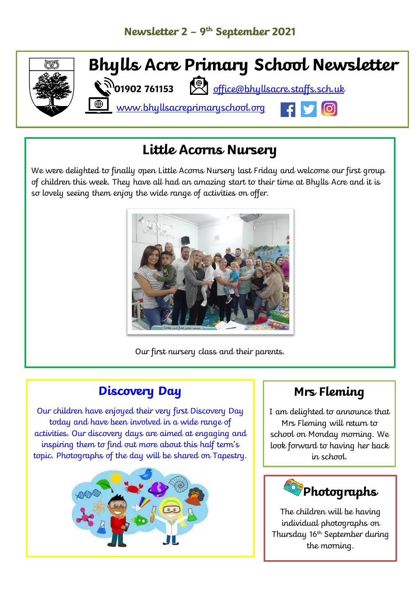

## **Little Acorns Nursery**

We were delighted to finally open Little Acorns Nursery last Friday and welcome our first group of children this week. They have all had an amazing start to their time at Bhylls Acre and it is so lovely seeing them enjoy the wide range of activities on offer.



Our first nursery class and their parents.

## **Discovery Day**

Our children have enjoyed their very first Discovery Day today and have been involved in a wide range of activities. Our discovery days are aimed at engaging and inspiring them to find out more about this half term's topic. Photographs of the day will be shared on Tapestry.



### **Mrs Fleming**

I am delighted to announce that Mrs Fleming will return to school on Monday morning. We look forward to having her back in school.



The children will be having individual photographs on Thursday 16th September during the morning.